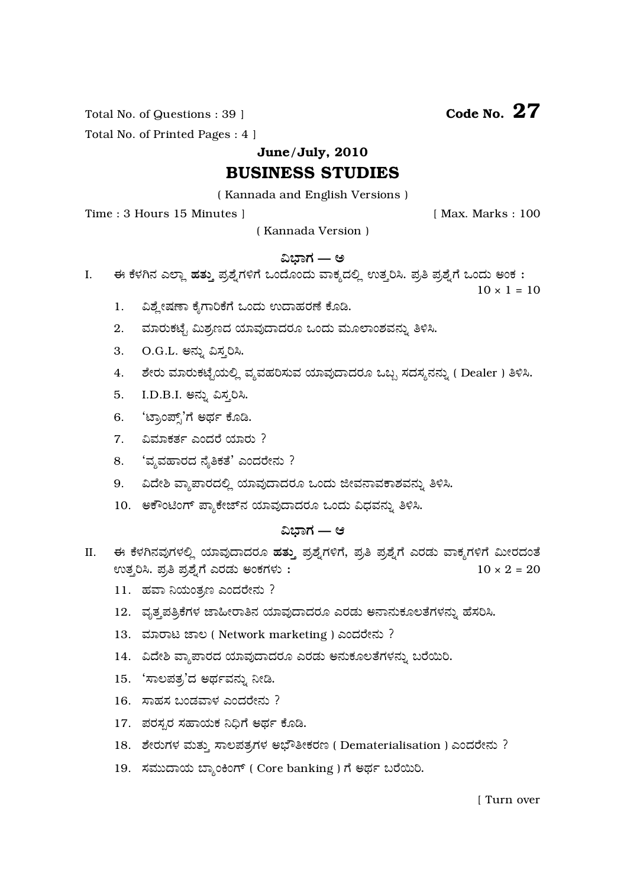Total No. of Questions : 39 ]

Total No. of Printed Pages : 4 ]

June/July, 2010

# **BUSINESS STUDIES**

(Kannada and English Versions)

Time: 3 Hours 15 Minutes 1

[ Max. Marks: 100

(Kannada Version)

## ವಿಭಾಗ — ಅ

ಈ ಕೆಳಗಿನ ಎಲ್ಲಾ ಹತ್ತು ಪ್ರಶ್ನೆಗಳಿಗೆ ಒಂದೊಂದು ವಾಕ್ಯದಲ್ಲಿ ಉತ್ತರಿಸಿ. ಪ್ರತಿ ಪ್ರಶ್ನೆಗೆ ಒಂದು ಅಂಕ:  $\overline{L}$ 

 $10 \times 1 = 10$ 

- ವಿಶ್ನೇಷಣಾ ಕೈಗಾರಿಕೆಗೆ ಒಂದು ಉದಾಹರಣೆ ಕೊಡಿ.  $\mathbf{1}$ .
- $2.$ ಮಾರುಕಟ್ಟೆ ಮಿಶ್ರಣದ ಯಾವುದಾದರೂ ಒಂದು ಮೂಲಾಂಶವನ್ನು ತಿಳಿಸಿ.
- O.G.L. ಅನ್ನು ವಿಸ್ತರಿಸಿ. 3.
- ಶೇರು ಮಾರುಕಟೈಯಲ್ಲಿ ವ್ಯವಹರಿಸುವ ಯಾವುದಾದರೂ ಒಬ್ಬ ಸದಸ್ಯನನ್ನು ( Dealer ) ತಿಳಿಸಿ. 4.
- I.D.B.I. ಅನ್ನು ವಿಸ್ತರಿಸಿ. 5.
- 6. 'ಟ್ರಾಂಪ್ಸ್'ಗೆ ಅರ್ಥ ಕೊಡಿ.
- 7. ವಿಮಾಕರ್ತ ಎಂದರೆ ಯಾರು ?
- 8. 'ವೃವಹಾರದ ನೈತಿಕತೆ' ಎಂದರೇನು ?
- 9. ವಿದೇಶಿ ವ್ಯಾಪಾರದಲ್ಲಿ ಯಾವುದಾದರೂ ಒಂದು ಜೀವನಾವಕಾಶವನ್ನು ತಿಳಿಸಿ.
- 10. ಅಕೌಂಟಿಂಗ್ ಪ್ಯಾಕೇಜ್ ನ ಯಾವುದಾದರೂ ಒಂದು ವಿಧವನ್ನು ತಿಳಿಸಿ.

## ವಿಬಾಗ — ಆ

- ಈ ಕೆಳಗಿನವುಗಳಲ್ಲಿ ಯಾವುದಾದರೂ ಹತ್ತು ಪ್ರಶ್ನೆಗಳಿಗೆ, ಪ್ರತಿ ಪ್ರಶ್ನೆಗೆ ಎರಡು ವಾಕ್ಯಗಳಿಗೆ ಮೀರದಂತೆ II. ಉತ್ತರಿಸಿ. ಪ್ರತಿ ಪ್ರಶ್ನೆಗೆ ಎರಡು ಅಂಕಗಳು:  $10 \times 2 = 20$ 
	- 11. ಹವಾ ನಿಯಂತ್ರಣ ಎಂದರೇನು ?
	- 12. ವೃತ್ತಪತ್ರಿಕೆಗಳ ಜಾಹೀರಾತಿನ ಯಾವುದಾದರೂ ಎರಡು ಅನಾನುಕೂಲತೆಗಳನ್ನು ಹೆಸರಿಸಿ.
	- 13. ಮಾರಾಟ ಜಾಲ (Network marketing) ಎಂದರೇನು ?
	- 14. ವಿದೇಶಿ ವ್ಯಾಪಾರದ ಯಾವುದಾದರೂ ಎರಡು ಅನುಕೂಲತೆಗಳನ್ನು ಬರೆಯಿರಿ.
	- 15. 'ಸಾಲಪತ್ರ'ದ ಅರ್ಥವನ್ನು ನೀಡಿ.
	- 16. ಸಾಹಸ ಬಂಡವಾಳ ಎಂದರೇನು ?
	- 17. ಪರಸ್ಪರ ಸಹಾಯಕ ನಿಧಿಗೆ ಅರ್ಥ ಕೊಡಿ.
	- 18. ಶೇರುಗಳ ಮತ್ತು ಸಾಲಪತ್ರಗಳ ಅಭೌತೀಕರಣ (Dematerialisation) ಎಂದರೇನು ?
	- 19. ಸಮುದಾಯ ಬ್ಯಾಂಕಿಂಗ್ ( Core banking ) ಗೆ ಅರ್ಥ ಬರೆಯಿರಿ.

Code No.  $27$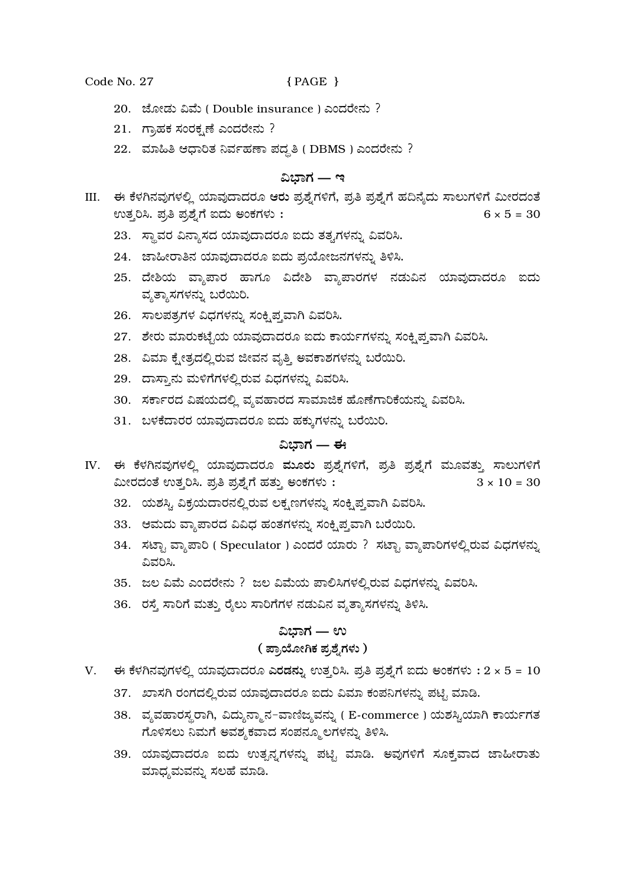#### Code No. 27

## ${PAGE}$

- 20. ಜೋಡು ವಿಮೆ (Double insurance) ಎಂದರೇನು ?
- 21. ಗ್ರಾಹಕ ಸಂರಕ್ಷಣೆ ಎಂದರೇನು?
- 22. ಮಾಹಿತಿ ಆಧಾರಿತ ನಿರ್ವಹಣಾ ಪದ್ಧತಿ (DBMS) ಎಂದರೇನು ?

## ವಿಬಾಗ — ಇ

- III. ಈ ಕೆಳಗಿನವುಗಳಲ್ಲಿ ಯಾವುದಾದರೂ ಆರು ಪ್ರಶ್ನೆಗಳಿಗೆ, ಪ್ರತಿ ಪ್ರಶ್ನೆಗೆ ಹದಿನ್ಯೆದು ಸಾಲುಗಳಿಗೆ ಮೀರದಂತೆ ಉತ್ತರಿಸಿ. ಪ್ರತಿ ಪ್ರಶ್ನೆಗೆ ಐದು ಅಂಕಗಳು :  $6 \times 5 = 30$ 
	- 23. ಸ್ಥಾವರ ವಿನ್ಯಾಸದ ಯಾವುದಾದರೂ ಐದು ತತ್ವಗಳನ್ನು ವಿವರಿಸಿ.
	- 24. ಜಾಹೀರಾತಿನ ಯಾವುದಾದರೂ ಐದು ಪ್ರಯೋಜನಗಳನ್ನು ತಿಳಿಸಿ.
	- 25. ದೇಶಿಯ ವ್ಯಾಪಾರ ಹಾಗೂ ವಿದೇಶಿ ವ್ಯಾಪಾರಗಳ ನಡುವಿನ ಯಾವುದಾದರೂ ಐದು ವ್ಯತ್ಯಾಸಗಳನ್ನು ಬರೆಯಿರಿ.
	- 26. ಸಾಲಪತ್ರಗಳ ವಿಧಗಳನ್ನು ಸಂಕೃಪ್ತವಾಗಿ ವಿವರಿಸಿ.
	- 27. ಶೇರು ಮಾರುಕಟ್ಟೆಯ ಯಾವುದಾದರೂ ಐದು ಕಾರ್ಯಗಳನ್ನು ಸಂಕ್ಷಿಪ್ತವಾಗಿ ವಿವರಿಸಿ.
	- 28. ವಿಮಾ ಕ್ಷೇತ್ರದಲ್ಲಿರುವ ಜೀವನ ವೃತ್ತಿ ಅವಕಾಶಗಳನ್ನು ಬರೆಯಿರಿ.
	- 29. ದಾಸ್ತಾನು ಮಳಿಗೆಗಳಲ್ಲಿರುವ ವಿಧಗಳನ್ನು ವಿವರಿಸಿ.
	- 30. ಸರ್ಕಾರದ ವಿಷಯದಲ್ಲಿ ವ್ಯವಹಾರದ ಸಾಮಾಜಿಕ ಹೊಣೆಗಾರಿಕೆಯನ್ನು ವಿವರಿಸಿ.
	- 31. ಬಳಕೆದಾರರ ಯಾವುದಾದರೂ ಐದು ಹಕ್ಕುಗಳನ್ನು ಬರೆಯಿರಿ.

## ವಿಭಾಗ — ಈ

- IV. ಈ ಕೆಳಗಿನವುಗಳಲ್ಲಿ ಯಾವುದಾದರೂ ಮೂರು ಪ್ರಶ್ನೆಗಳಿಗೆ, ಪ್ರತಿ ಪ್ರಶ್ನೆಗೆ ಮೂವತ್ತು ಸಾಲುಗಳಿಗೆ ಮೀರದಂತೆ ಉತ್ತರಿಸಿ. ಪ್ರತಿ ಪ್ರಶ್ನೆಗೆ ಹತ್ತು ಅಂಕಗಳು:  $3 \times 10 = 30$ 
	- 32. ಯಶಸ್ವಿ ವಿಕ್ರಯದಾರನಲ್ಲಿರುವ ಲಕ್ಷಣಗಳನ್ನು ಸಂಕ್ಷಿಪ್ತವಾಗಿ ವಿವರಿಸಿ.
	- 33. ಆಮದು ವ್ಯಾಪಾರದ ವಿವಿಧ ಹಂತಗಳನ್ನು ಸಂಕ್ಷಿಪ್ತವಾಗಿ ಬರೆಯಿರಿ.
	- 34. ಸಟ್ಟಾ ವ್ಯಾಪಾರಿ ( Speculator ) ಎಂದರೆ ಯಾರು ? ಸಟ್ಟಾ ವ್ಯಾಪಾರಿಗಳಲ್ಲಿರುವ ವಿಧಗಳನ್ನು ವಿವರಿಸಿ.
	- 35. ಜಲ ವಿಮೆ ಎಂದರೇನು ? ಜಲ ವಿಮೆಯ ಪಾಲಿಸಿಗಳಲ್ಲಿರುವ ವಿಧಗಳನ್ನು ವಿವರಿಸಿ.
	- 36. ರಸ್ತೆ ಸಾರಿಗೆ ಮತ್ತು ರೈಲು ಸಾರಿಗೆಗಳ ನಡುವಿನ ವ್ಯತ್ಯಾಸಗಳನ್ನು ತಿಳಿಸಿ.

## ವಿಭಾಗ — ಉ

## ( ಪ್ರಾಯೋಗಿಕ ಪ್ರಶ್ನೆಗಳು )

- V. ಈ ಕೆಳಗಿನವುಗಳಲ್ಲಿ ಯಾವುದಾದರೂ ಎರಡನ್ನು ಉತ್ತರಿಸಿ. ಪ್ರತಿ ಪ್ರಶ್ನೆಗೆ ಐದು ಅಂಕಗಳು :  $2 \times 5 = 10$ 
	- 37. ಖಾಸಗಿ ರಂಗದಲ್ಲಿರುವ ಯಾವುದಾದರೂ ಐದು ವಿಮಾ ಕಂಪನಿಗಳನ್ನು ಪಟ್ಟಿ ಮಾಡಿ.
	- 38. ವ್ಯವಹಾರಸ್ಥರಾಗಿ, ವಿದ್ಯುನ್ಮಾನ-ವಾಣಿಜ್ಯವನ್ನು ( E-commerce ) ಯಶಸ್ವಿಯಾಗಿ ಕಾರ್ಯಗತ ಗೊಳಿಸಲು ನಿಮಗೆ ಅವಶ್ಯಕವಾದ ಸಂಪನ್ಮೂಲಗಳನ್ನು ತಿಳಿಸಿ.
	- 39. ಯಾವುದಾದರೂ ಐದು ಉತ್ಖನ್ಯಗಳನ್ನು ಪಟ್ಟಿ ಮಾಡಿ. ಅವುಗಳಿಗೆ ಸೂಕ್ತವಾದ ಜಾಹೀರಾತು ಮಾಧ್ಯಮವನ್ನು ಸಲಹೆ ಮಾಡಿ.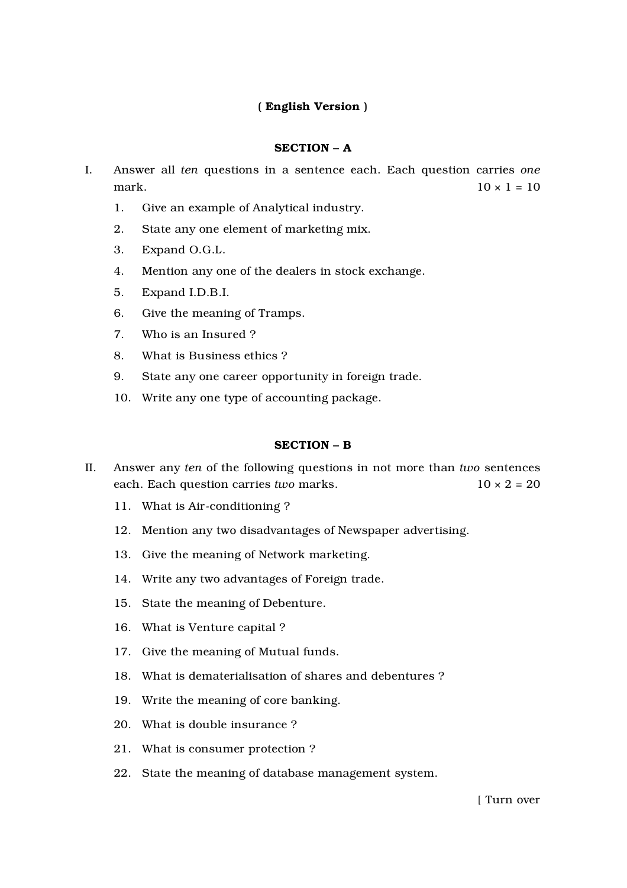## ( English Version )

## SECTION – A

- I. Answer all *ten* questions in a sentence each. Each question carries *one* mark.  $10 \times 1 = 10$ 
	- 1. Give an example of Analytical industry.
	- 2. State any one element of marketing mix.
	- 3. Expand O.G.L.
	- 4. Mention any one of the dealers in stock exchange.
	- 5. Expand I.D.B.I.
	- 6. Give the meaning of Tramps.
	- 7. Who is an Insured ?
	- 8. What is Business ethics ?
	- 9. State any one career opportunity in foreign trade.
	- 10. Write any one type of accounting package.

## SECTION – B

- II. Answer any *ten* of the following questions in not more than *two* sentences each. Each question carries *two* marks. 10 × 2 = 20
	- 11. What is Air-conditioning ?
	- 12. Mention any two disadvantages of Newspaper advertising.
	- 13. Give the meaning of Network marketing.
	- 14. Write any two advantages of Foreign trade.
	- 15. State the meaning of Debenture.
	- 16. What is Venture capital ?
	- 17. Give the meaning of Mutual funds.
	- 18. What is dematerialisation of shares and debentures ?
	- 19. Write the meaning of core banking.
	- 20. What is double insurance ?
	- 21. What is consumer protection ?
	- 22. State the meaning of database management system.